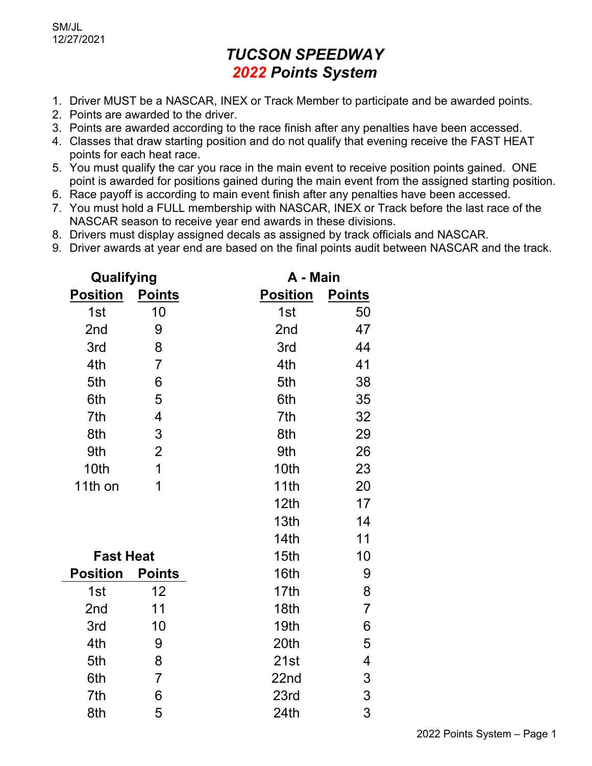## *TUCSON SPEEDWAY 2022 Points System*

- 1. Driver MUST be a NASCAR, INEX or Track Member to participate and be awarded points.
- 2. Points are awarded to the driver.
- 3. Points are awarded according to the race finish after any penalties have been accessed.
- 4. Classes that draw starting position and do not qualify that evening receive the FAST HEAT points for each heat race.
- 5. You must qualify the car you race in the main event to receive position points gained. ONE point is awarded for positions gained during the main event from the assigned starting position.
- 6. Race payoff is according to main event finish after any penalties have been accessed.
- 7. You must hold a FULL membership with NASCAR, INEX or Track before the last race of the NASCAR season to receive year end awards in these divisions.
- 8. Drivers must display assigned decals as assigned by track officials and NASCAR.
- 9. Driver awards at year end are based on the final points audit between NASCAR and the track.

| Qualifying       |                |                  | A - Main       |  |
|------------------|----------------|------------------|----------------|--|
| <b>Position</b>  | <b>Points</b>  | <b>Position</b>  | <b>Points</b>  |  |
| 1st              | 10             | 1st              | 50             |  |
| 2nd              | 9              | 2nd              | 47             |  |
| 3rd              | 8              | 3rd              | 44             |  |
| 4th              | $\overline{7}$ | 4th              | 41             |  |
| 5th              | 6              | 5th              | 38             |  |
| 6th              | 5              | 6th              | 35             |  |
| 7th              | 4              | 7th              | 32             |  |
| 8th              | 3              | 8th              | 29             |  |
| 9th              | $\overline{2}$ | 9th              | 26             |  |
| 10th             | 1              | 10th             | 23             |  |
| 11th on          | 1              | 11th             | 20             |  |
|                  |                | 12 <sub>th</sub> | 17             |  |
|                  |                | 13th             | 14             |  |
|                  |                | 14th             | 11             |  |
| <b>Fast Heat</b> |                | 15th             | 10             |  |
| <b>Position</b>  | <b>Points</b>  | 16th             | 9              |  |
| 1st              | 12             | 17th             | 8              |  |
| 2nd              | 11             | 18th             | $\overline{7}$ |  |
| 3rd              | 10             | 19th             | 6              |  |
| 4th              | 9              | 20th             | 5              |  |
| 5th              | 8              | 21st             | 4              |  |
| 6th              | $\overline{7}$ | 22nd             | 3              |  |
| 7th              | 6              | 23rd             | 3              |  |
| 8th              | 5              | 24th             | 3              |  |